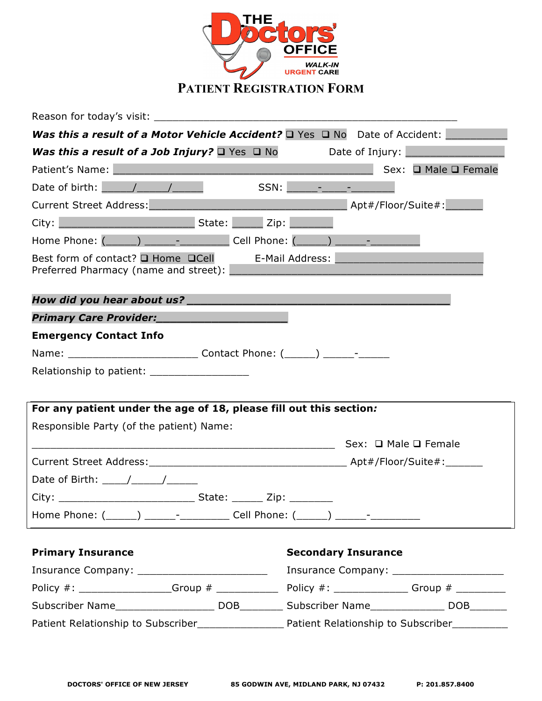

Reason for today's visit: \_\_\_\_\_\_\_\_\_\_\_\_\_\_\_\_\_\_\_\_\_\_\_\_\_\_\_\_\_\_\_\_\_\_\_\_\_\_\_\_\_\_\_\_\_\_\_\_\_ *Was this a result of a Motor Vehicle Accident?* **Q Yes Q No Date of Accident: \_\_\_\_\_\_\_\_\_\_\_\_\_\_\_\_\_\_\_\_\_\_\_\_\_\_\_\_\_\_\_\_\_\_\_** *Was this a result of a Job Injury?* q Yes q No Date of Injury: \_\_\_\_\_\_\_\_\_\_\_\_\_\_\_\_ Patient's Name: 2008 and 2008 and 2008 and 2008 and 2008 and 2008 and 2008 and 2008 and 2008 and 2008 and 2008 Date of birth:  $\sqrt{2\pi}$  /  $\sqrt{2\pi}$  SSN:  $\sqrt{2\pi}$  -  $\sqrt{2\pi}$ Current Street Address:\_\_\_\_\_\_\_\_\_\_\_\_\_\_\_\_\_\_\_\_\_\_\_\_\_\_\_\_\_\_\_\_ Apt#/Floor/Suite#:\_\_\_\_\_\_ City: \_\_\_\_\_\_\_\_\_\_\_\_\_\_\_\_\_\_\_\_\_\_ State: \_\_\_\_\_ Zip: \_\_\_\_\_\_\_ Home Phone:  $($   $)$   $)$   $\qquad$   $\qquad$  Cell Phone:  $($   $)$   $-$ Best form of contact?  $\Box$  Home  $\Box$ Cell E-Mail Address: Preferred Pharmacy (name and street): *How did you hear about us? \_\_\_\_\_\_\_\_\_\_\_\_\_\_\_\_\_\_\_\_\_\_\_\_\_\_\_\_\_\_\_\_\_\_\_\_\_\_ Primary Care Provider:\_\_\_\_\_\_\_\_\_\_\_\_\_\_\_\_\_\_\_* **Emergency Contact Info** Name: The Contact Phone: (CONTACT Phone: (CONTACT Phone: (CONTACT Phone: (CONTACT PHONE PHONE PHONE P Relationship to patient: **For any patient under the age of 18, please fill out this section***:* Responsible Party (of the patient) Name: \_\_\_\_\_\_\_\_\_\_\_\_\_\_\_\_\_\_\_\_\_\_\_\_\_\_\_\_\_\_\_\_\_\_\_\_\_\_\_\_\_\_\_\_\_\_\_\_\_ Sex: q Male q Female Current Street Address:\_\_\_\_\_\_\_\_\_\_\_\_\_\_\_\_\_\_\_\_\_\_\_\_\_\_\_\_\_\_\_\_ Apt#/Floor/Suite#:\_\_\_\_\_\_ Date of Birth: \_\_\_\_/\_\_\_\_\_/\_\_\_\_\_\_ City: \_\_\_\_\_\_\_\_\_\_\_\_\_\_\_\_\_\_\_\_\_\_ State: \_\_\_\_\_ Zip: \_\_\_\_\_\_\_ Home Phone: (\_\_\_\_\_) \_\_\_\_\_- \_\_\_\_\_\_\_\_\_\_ Cell Phone: (\_\_\_\_\_) \_\_\_\_\_- \_\_\_\_\_\_\_\_ **Primary Insurance Secondary Insurance** Insurance Company: \_\_\_\_\_\_\_\_\_\_\_\_\_\_\_\_\_\_\_\_\_ Insurance Company: \_\_\_\_\_\_\_\_\_\_\_\_\_\_\_\_\_\_ Policy  $\#$ :  $\qquad \qquad$  Group  $\#$   $\qquad \qquad$  Policy  $\#$ :  $\qquad \qquad$  Group  $\#$ Subscriber Name The Controller Subscriber Name Controller Name Controller Name Controller Name Controller Name Patient Relationship to Subscriber\_\_\_\_\_\_\_\_\_\_\_\_\_\_ Patient Relationship to Subscriber\_\_\_\_\_\_\_\_\_